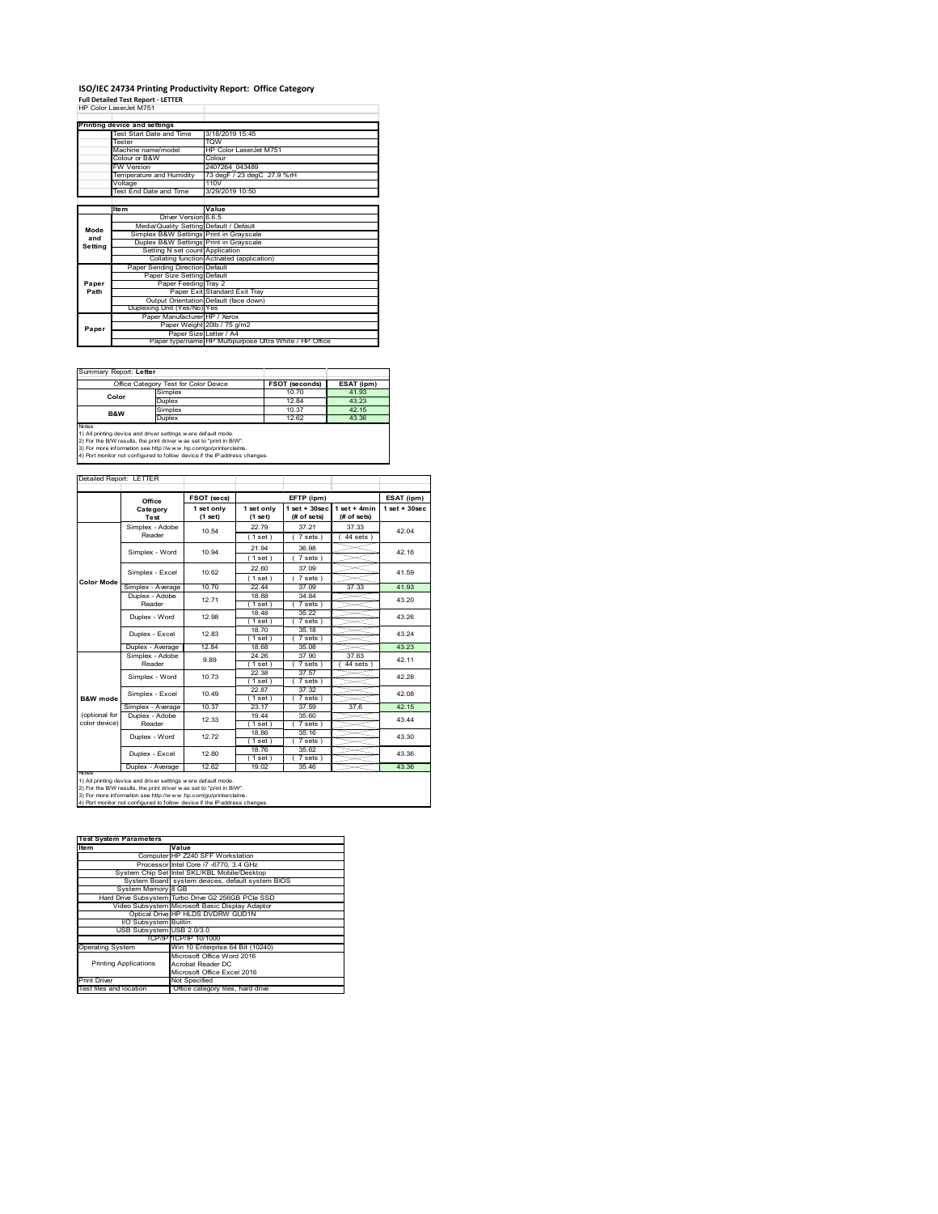## **ISO/IEC 24734 Printing Productivity Report: Office Category Full Detailed Test Report ‐ LETTER** HP Color LaserJet M751

|         | HP GOLOGIAS BELIEF M/51                 |                                                         |
|---------|-----------------------------------------|---------------------------------------------------------|
|         | Printing device and settings            |                                                         |
|         | Test Start Date and Time                | 3/18/2019 15:45                                         |
|         | Tester                                  | TOW                                                     |
|         | Machine name/model                      | HP Color LaserJet M751                                  |
|         | Colour or B&W                           | Colour                                                  |
|         | <b>FW Version</b>                       | 2407264 043489                                          |
|         | Temperature and Humidity                | 73 degF / 23 degC 27.9 %rH                              |
|         | Voltage                                 | 110V                                                    |
|         | <b>Test End Date and Time</b>           | 3/29/2019 10:50                                         |
|         |                                         |                                                         |
|         | <b>Item</b>                             | Value                                                   |
|         | Driver Version 6.6.5                    |                                                         |
| Mode    | Media/Quality Setting Default / Default |                                                         |
| and     | Simplex B&W Settings Print in Grayscale |                                                         |
| Setting | Duplex B&W Settings Print in Grayscale  |                                                         |
|         | Setting N set count Application         |                                                         |
|         |                                         | Collating function Activated (application)              |
|         | Paper Sending Direction Default         |                                                         |
|         | Paper Size Setting Default              |                                                         |
| Paper   | Paper Feeding Tray 2                    |                                                         |
| Path    |                                         | Paper Exit Standard Exit Tray                           |
|         |                                         | Output Orientation Default (face down)                  |
|         | Duplexing Unit (Yes/No) Yes             |                                                         |
|         | Paper Manufacturer HP / Xerox           |                                                         |
| Paper   |                                         | Paper Weight 20lb / 75 g/m2                             |
|         |                                         | Paper Size Letter / A4                                  |
|         |                                         | Paper type/name HP Multipurpose Ultra White / HP Office |

Summary Report: **Letter**

| Office Category Test for Color Device                         |         | <b>FSOT (seconds)</b> | ESAT (ipm) |  |
|---------------------------------------------------------------|---------|-----------------------|------------|--|
| Color                                                         | Simplex | 10.70                 | 41.93      |  |
|                                                               | Duplex  | 1284                  | 43.23      |  |
| <b>B&amp;W</b>                                                | Simplex | 10.37                 | 42 15      |  |
|                                                               | Duplex  | 12.62                 | 43.36      |  |
| <b>Notes</b>                                                  |         |                       |            |  |
| 1) All printing device and driver settings were default mode. |         |                       |            |  |

1) All printing device and driver settings were default mode.<br>2) For the B/W results, the print driver was set to "print in B/W".<br>3) For more information see http://www.hp.com/go/printerclaims.<br>4) Port monitor not configur

|                                | Office                    | <b>FSOT (secs)</b>    |                       | EFTP (ipm)                        |                               | ESAT (ipm)      |
|--------------------------------|---------------------------|-----------------------|-----------------------|-----------------------------------|-------------------------------|-----------------|
|                                | Category<br>Test          | 1 set only<br>(1 set) | 1 set only<br>(1 set) | $1$ set + $30$ sec<br>(# of sets) | $1$ set + 4min<br>(# of sets) | $1$ set + 30sec |
|                                | Simplex - Adobe<br>Reader | 10.54                 | 2279<br>(1 set)       | 37 21<br>$7 sets$ )               | 37.33<br>$44$ sets $)$        | 42.04           |
|                                | Simplex - Word            | 10.94                 | 21.94<br>(1 set)      | 36.98<br>$7 sets$ )               |                               | 42.16           |
|                                | Simplex - Excel           | 10.62                 | 22.60<br>(1 set)      | 37 09<br>(7 sets)                 |                               | 41.59           |
| <b>Color Mode</b>              | Simplex - Average         | 10.70                 | 22 44                 | 37.09                             | 37.33                         | 41.93           |
|                                | Duplex - Adobe<br>Reader  | 1271                  | 18.88<br>(1 set)      | 34.84<br>7 sets)                  |                               | 43.20           |
|                                | Duplex - Word             | 12.98                 | 18.48<br>(1 set)      | 35.22<br>7 sets)                  |                               | 43.26           |
|                                | Duplex - Excel            | 12.83                 | 18.70<br>1 set )      | 35.18<br>7 sets 1                 |                               | 43.24           |
|                                | Duplex - Average          | 12.84                 | 18.68                 | 35.08                             |                               | 43.23           |
|                                | Simplex - Adobe<br>Reader | 9.89                  | 24 26<br>(1 set)      | 37.90<br>7 sets 1                 | 3763<br>44 sets               | 42 11           |
|                                | Simplex - Word            | 10 73                 | 22.38<br>(1 set)      | 37.57<br>$7$ sets)                |                               | 42.28           |
| B&W mode                       | Simplex - Excel           | 10.49                 | 2287<br>(1 set)       | 37.32<br>$7$ sets $)$             |                               | 42.08           |
|                                | Simplex - Average         | 10.37                 | 23.17                 | 37.59                             | 37.6                          | 42.15           |
| (optional for<br>color device) | Duplex - Adobe<br>Reader  | 12.33                 | 19.44<br>1 set 1      | 35.60<br>7 sets 1                 |                               | 43.44           |
|                                | Duplex - Word             | 12.72                 | 18.86<br>(1 set)      | 35.16<br>7 sets)                  |                               | 43.30           |
|                                | Duplex - Excel            | 12.80                 | 18.76<br>(1 set)      | 35.62<br>7 sets)                  |                               | 43.36           |
|                                | Duplex - Average          | 12.62                 | 19.02                 | 35.46                             |                               | 43.36           |

2) For the B/W results, the print driver w as set to "print in B/W".<br>3) For more information see http://w w w .hp.com/go/printerclaims.<br>4) Port monitor not configured to follow device if the IP address changes.

| <b>Test System Parameters</b> |                                                    |  |  |
|-------------------------------|----------------------------------------------------|--|--|
| Item                          | Value                                              |  |  |
|                               | Computer HP Z240 SFF Workstation                   |  |  |
|                               | Processor Intel Core i7 -6770, 3.4 GHz             |  |  |
|                               | System Chip Set Intel SKL/KBL Mobile/Desktop       |  |  |
|                               | System Board system devices, default system BIOS   |  |  |
| System Memory 8 GB            |                                                    |  |  |
|                               | Hard Drive Subsystem Turbo Drive G2 256GB PCle SSD |  |  |
|                               | Video Subsystem Microsoft Basic Display Adaptor    |  |  |
|                               | Optical Drive HP HLDS DVDRW GUD1N                  |  |  |
| I/O Subsystem Builtin         |                                                    |  |  |
| USB Subsystem USB 2.0/3.0     |                                                    |  |  |
|                               | TCP/IP TCP/IP 10/1000                              |  |  |
| <b>Operating System</b>       | Win 10 Enterprise 64 Bit (10240)                   |  |  |
|                               | Microsoft Office Word 2016                         |  |  |
| <b>Printing Applications</b>  | Acrobat Reader DC                                  |  |  |
|                               | Microsoft Office Excel 2016                        |  |  |
| Print Driver                  | Not Specified                                      |  |  |
| Test files and location       | Office category files, hard drive                  |  |  |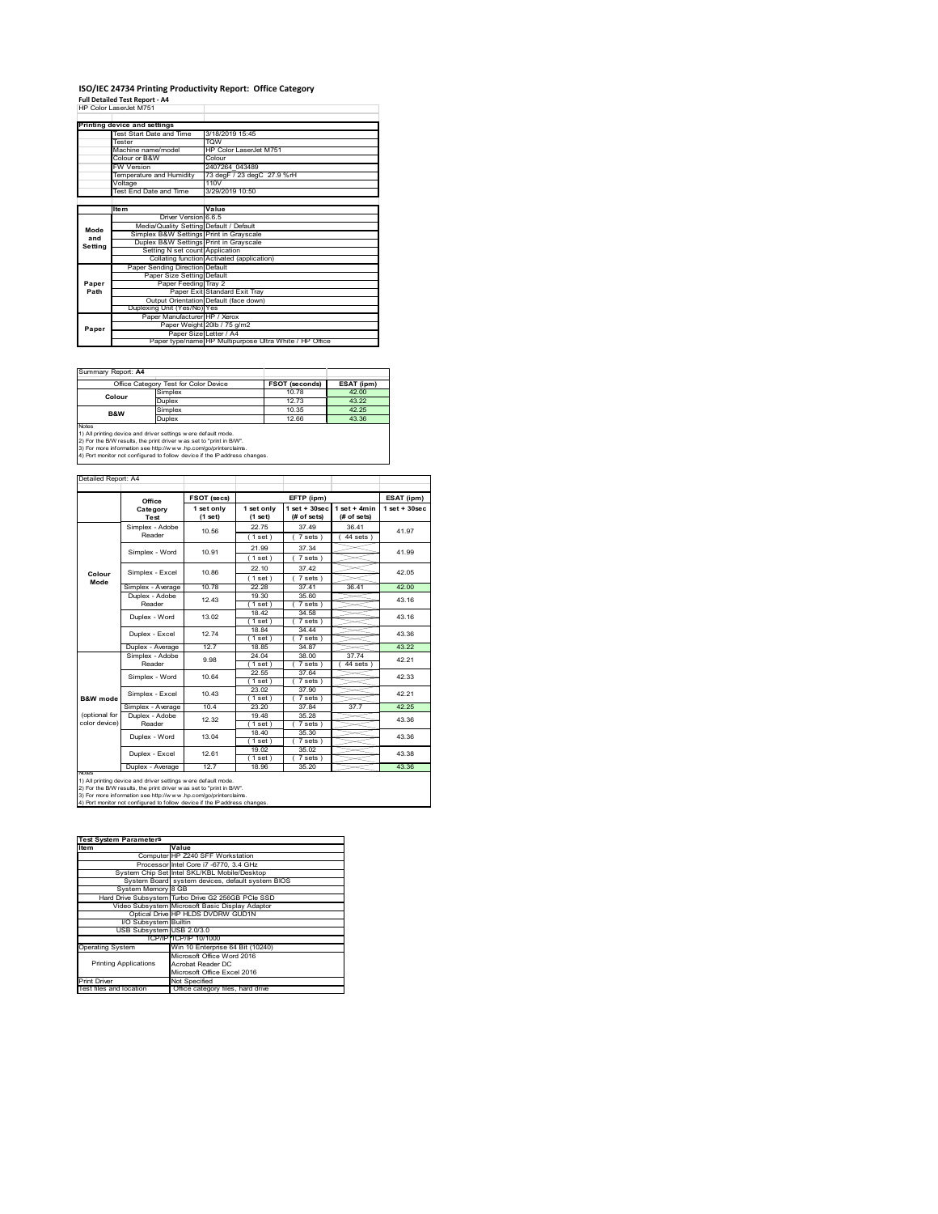# **ISO/IEC 24734 Printing Productivity Report: Office Category Full Detailed Test Report ‐ A4** HP Color LaserJet M751

|         | ו שיווי המספר המונח המונח המונח ה       |                                                         |
|---------|-----------------------------------------|---------------------------------------------------------|
|         | Printing device and settings            |                                                         |
|         | Test Start Date and Time                | 3/18/2019 15:45                                         |
|         | <b>Tester</b>                           | <b>TOW</b>                                              |
|         | Machine name/model                      | HP Color LaserJet M751                                  |
|         | Colour or B&W                           | Colour                                                  |
|         | <b>FW Version</b>                       | 2407264 043489                                          |
|         | Temperature and Humidity                | 73 degF / 23 degC 27.9 %rH                              |
|         | Voltage                                 | 110V                                                    |
|         | Test End Date and Time                  | 3/29/2019 10:50                                         |
|         |                                         |                                                         |
|         | <b>Item</b>                             | Value                                                   |
|         | Driver Version 6.6.5                    |                                                         |
|         | Media/Quality Setting Default / Default |                                                         |
| Mode    | Simplex B&W Settings Print in Grayscale |                                                         |
| and     | Duplex B&W Settings Print in Grayscale  |                                                         |
| Setting | Setting N set count Application         |                                                         |
|         |                                         | Collating function Activated (application)              |
|         | Paper Sending Direction Default         |                                                         |
|         | Paper Size Setting Default              |                                                         |
| Paper   | Paper Feeding Tray 2                    |                                                         |
| Path    |                                         | Paper Exit Standard Exit Tray                           |
|         |                                         | Output Orientation Default (face down)                  |
|         | Duplexing Unit (Yes/No) Yes             |                                                         |
|         | Paper Manufacturer HP / Xerox           |                                                         |
| Paper   |                                         | Paper Weight 20lb / 75 g/m2                             |
|         |                                         | Paper Size Letter / A4                                  |
|         |                                         | Paper type/name HP Multipurpose Ultra White / HP Office |

Summary Report: **A4**

| <u> Julianu I IV</u>                                         |                                       |                       |            |  |
|--------------------------------------------------------------|---------------------------------------|-----------------------|------------|--|
|                                                              | Office Category Test for Color Device | <b>FSOT (seconds)</b> | ESAT (ipm) |  |
| Colour                                                       | Simplex                               | 10.78                 | 4200       |  |
|                                                              | Duplex                                | 12 73                 | 43.22      |  |
| B&W                                                          | Simplex                               | 10.35                 | 42.25      |  |
|                                                              | Duplex                                | 12.66                 | 43.36      |  |
| <b>Notes</b>                                                 |                                       |                       |            |  |
| 1) All printing device and driver settings were default mode |                                       |                       |            |  |

1) All printing device and driver settings were default mode.<br>2) For the B/W results, the print driver was set to "print in B/W".<br>3) For more information see http://www.hp.com/go/printerclaims.<br>4) Port monitor not configur

| Detailed Report: A4 |  |
|---------------------|--|
|                     |  |

|               | Office            | FSOT (secs) | 1 set only | EFTP (ipm)<br>$1$ set + 30sec | $1$ set + 4min | ESAT (ipm)<br>$1$ set + $30$ sec |
|---------------|-------------------|-------------|------------|-------------------------------|----------------|----------------------------------|
|               | Category          | 1 set only  |            |                               |                |                                  |
|               | Test              | (1 set)     | (1 set)    | (# of sets)                   | (# of sets)    |                                  |
|               | Simplex - Adobe   | 10.56       | 22.75      | 37 49                         | 3641           | 41.97                            |
|               | Reader            |             | (1 set)    | $7 sets$ )                    | $44$ sets)     |                                  |
|               | Simplex - Word    | 10.91       | 21.99      | 37.34                         |                | 41.99                            |
|               |                   |             | (1 set)    | $7 sets$ )                    |                |                                  |
| Colour        | Simplex - Excel   | 10.86       | 22.10      | 37.42                         |                | 42 05                            |
| Mode          |                   |             | (1 set)    | 7 sets)                       |                |                                  |
|               | Simplex - Average | 10.78       | 22.28      | 37 41                         | 36.41          | 42.00                            |
|               | Duplex - Adobe    | 12 43       | 19.30      | 35.60                         |                | 43 16                            |
|               | Reader            |             | (1 set)    | 7 sets)                       |                |                                  |
|               | Duplex - Word     | 13.02       | 18.42      | 34.58                         |                | 43.16                            |
|               |                   |             | (1 set)    | $7 sets$ )                    |                |                                  |
|               | Duplex - Excel    | 1274        | 1884       | 34 44                         |                | 43.36                            |
|               |                   |             | 1 set)     | 7 sets)                       |                |                                  |
|               | Duplex - Average  | 12.7        | 18.85      | 34 87                         |                | 43.22                            |
|               | Simplex - Adobe   | 9.98        | 24.04      | 38.00                         | 37.74          | 42.21                            |
|               | Reader            |             | (1 set)    | 7 sets 1                      | 44 sets        |                                  |
|               | Simplex - Word    | 10.64       | 22.55      | 37.64                         |                | 42.33                            |
|               |                   |             | (1 set)    | 7 sets)                       |                |                                  |
|               | Simplex - Excel   | 10 43       | 23.02      | 37.90                         |                | 42 21                            |
| B&W mode      |                   |             | (1 set)    | 7 sets)                       |                |                                  |
|               | Simplex - Average | 10.4        | 23.20      | 37.84                         | 37.7           | 42.25                            |
| (optional for | Duplex - Adobe    | 12.32       | 1948       | 35 28                         |                | 43.36                            |
| color device) | Reader            |             | 1 set 1    | $7 sets$ )                    |                |                                  |
|               | Duplex - Word     | 13.04       | 18.40      | 35.30                         |                | 43.36                            |
|               |                   |             | (1 set)    | 7 sets)                       |                |                                  |
|               | Duplex - Excel    | 12.61       | 19.02      | 35.02                         |                | 43.38                            |
|               |                   |             | (1 set)    | 7 sets)                       |                |                                  |
| <b>NOTAS</b>  | Duplex - Average  | 12.7        | 18.96      | 35.20                         |                | 43.36                            |

┑

2) For the B/W results, the print driver w as set to "print in B/W".<br>3) For more information see http://w w w .hp.com/go/printerclaims.<br>4) Port monitor not configured to follow device if the IP address changes.

| <b>Test System Parameters</b> |                                                    |  |  |
|-------------------------------|----------------------------------------------------|--|--|
| Item                          | Value                                              |  |  |
|                               |                                                    |  |  |
|                               | Computer HP Z240 SFF Workstation                   |  |  |
|                               | Processor Intel Core i7 -6770, 3.4 GHz             |  |  |
|                               | System Chip Set Intel SKL/KBL Mobile/Desktop       |  |  |
|                               | System Board system devices, default system BIOS   |  |  |
| System Memory 8 GB            |                                                    |  |  |
|                               | Hard Drive Subsystem Turbo Drive G2 256GB PCle SSD |  |  |
|                               | Video Subsystem Microsoft Basic Display Adaptor    |  |  |
|                               | Optical Drive HP HLDS DVDRW GUD1N                  |  |  |
| I/O Subsystem Builtin         |                                                    |  |  |
| USB Subsystem USB 2.0/3.0     |                                                    |  |  |
|                               | TCP/IP/TCP/IP 10/1000                              |  |  |
| <b>Operating System</b>       | Win 10 Enterprise 64 Bit (10240)                   |  |  |
|                               | Microsoft Office Word 2016                         |  |  |
| <b>Printing Applications</b>  | Acrobat Reader DC                                  |  |  |
|                               | Microsoft Office Excel 2016                        |  |  |
| <b>Print Driver</b>           | Not Specified                                      |  |  |
| Test files and location       | Office category files, hard drive                  |  |  |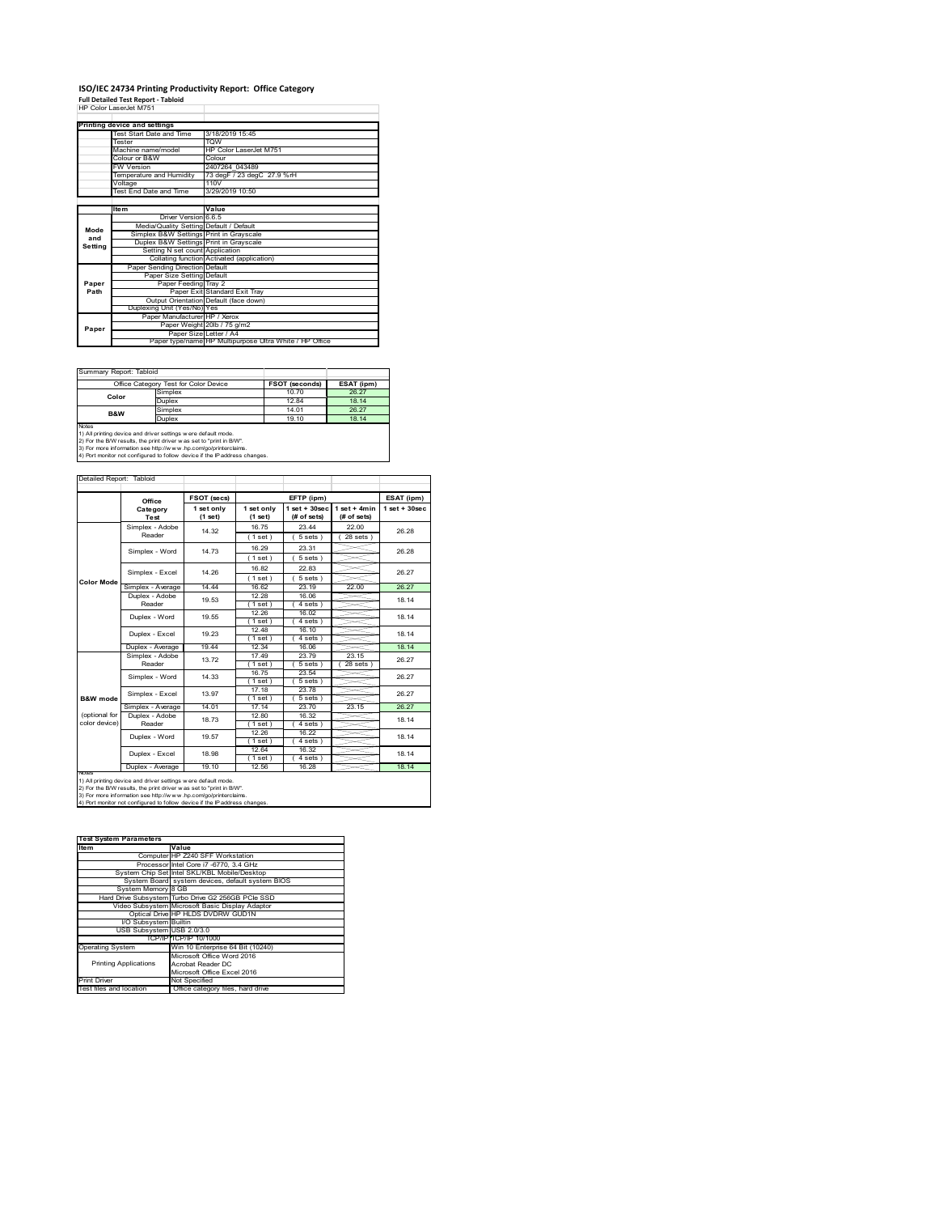## **ISO/IEC 24734 Printing Productivity Report: Office Category Full Detailed Test Report ‐ Tabloid** HP Color LaserJet M751

| HP Color LaserJet M751 |  |
|------------------------|--|
|                        |  |

|         | Printing device and settings            |                                                         |
|---------|-----------------------------------------|---------------------------------------------------------|
|         | Test Start Date and Time                | 3/18/2019 15:45                                         |
|         | <b>Tester</b>                           | <b>TOW</b>                                              |
|         | Machine name/model                      | HP Color Laser let M751                                 |
|         | Colour or B&W                           | Colour                                                  |
|         | <b>FW Version</b>                       | 2407264 043489                                          |
|         | Temperature and Humidity                | 73 degF / 23 degC 27.9 %rH                              |
|         | Voltage                                 | 110V                                                    |
|         | Test End Date and Time                  | 3/29/2019 10:50                                         |
|         |                                         |                                                         |
|         | <b>Item</b>                             | Value                                                   |
|         | Driver Version 6.6.5                    |                                                         |
| Mode    | Media/Quality Setting Default / Default |                                                         |
| and     | Simplex B&W Settings Print in Grayscale |                                                         |
| Settina | Duplex B&W Settings Print in Grayscale  |                                                         |
|         | Setting N set count Application         |                                                         |
|         |                                         | Collating function Activated (application)              |
|         | Paper Sending Direction Default         |                                                         |
|         | Paper Size Setting Default              |                                                         |
| Paper   | Paper Feeding Tray 2                    |                                                         |
| Path    |                                         | Paper Exit Standard Exit Tray                           |
|         |                                         | Output Orientation Default (face down)                  |
|         | Duplexing Unit (Yes/No) Yes             |                                                         |
|         | Paper Manufacturer HP / Xerox           |                                                         |
| Paper   |                                         | Paper Weight 20lb / 75 g/m2                             |
|         | Paper Size Letter / A4                  |                                                         |
|         |                                         | Paper type/name HP Multipurpose Ultra White / HP Office |

Summary Report: Tabloid

|                                                              | Office Category Test for Color Device | <b>FSOT (seconds)</b> | ESAT (ipm) |
|--------------------------------------------------------------|---------------------------------------|-----------------------|------------|
| Color                                                        | Simplex                               | 10.70                 | 26.27      |
|                                                              | Duplex                                | 12.84                 | 18 14      |
| B&W                                                          | Simplex                               | 14.01                 | 26.27      |
|                                                              | Duplex                                | 19.10                 | 18 14      |
| <b>Notes</b>                                                 |                                       |                       |            |
| 1) All nrinting device and driver settings were default mode |                                       |                       |            |

1) All printing device and driver settings were default mode.<br>2) For the B/W results, the print driver was set to "print in B/W".<br>3) For more information see http://www.hp.com/go/printerclaims.<br>4) Port monitor not configur

#### Detailed Report: Tabloid

|                   | Office            | FSOT (secs) |             | EFTP (ipm)         |                | ESAT (ipm)        |  |
|-------------------|-------------------|-------------|-------------|--------------------|----------------|-------------------|--|
|                   | Category          | 1 set only  | 1 set only  | $1$ set + $30$ sec | $1$ set + 4min | $1$ set $+30$ sec |  |
|                   | Test              | (1 set)     | (1 set)     | (# of sets)        | (# of sets)    |                   |  |
|                   | Simplex - Adobe   | 14.32       | 16.75       | 23.44              | 22.00          | 26.28             |  |
|                   | Reader            |             | (1 set)     | 5 sets)            | $28$ sets $)$  |                   |  |
|                   | Simplex - Word    | 14.73       | 16.29       | 23.31              |                | 26.28             |  |
|                   |                   |             | (1 set)     | $5 sets$ )         |                |                   |  |
|                   | Simplex - Excel   | 14.26       | 16.82       | 22.83              |                | 26.27             |  |
| <b>Color Mode</b> |                   |             | (1 set)     | $5 sets$ )         |                |                   |  |
|                   | Simplex - Average | 14.44       | 16.62       | 23 19              | 22.00          | 26.27             |  |
|                   | Duplex - Adobe    | 19.53       | 12 28       | 16.06              |                | 18.14             |  |
|                   | Reader            |             | $1$ set)    | 4 sets)            |                |                   |  |
|                   | Duplex - Word     | 19.55       | 12.26       | 16.02              |                | 18.14             |  |
|                   |                   |             | (1 set)     | 4 sets)            |                |                   |  |
|                   | Duplex - Excel    | 19.23       | 12.48       | 16.10              |                | 18.14             |  |
|                   |                   |             | (1 set)     | $4 sets$ )         |                |                   |  |
|                   | Duplex - Average  | 19.44       | 12.34       | 16.06              |                | 18.14             |  |
|                   | Simplex - Adobe   | 13.72       | 17.49       | 23.79              | 23.15          | 26.27             |  |
|                   | Reader            |             | $1$ set)    | 5 sets             | 28 sets        |                   |  |
|                   | Simplex - Word    | 14.33       | 16.75       | 23.54              |                | 26.27             |  |
|                   |                   |             | (1 set)     | 5 sets)            |                |                   |  |
|                   | Simplex - Excel   | 13.97       | 17.18       | 23.78              |                | 26.27             |  |
| B&W mode          |                   |             | $1$ set $)$ | 5 sets)            |                |                   |  |
|                   | Simplex - Average | 14.01       | 17.14       | 23.70              | 23.15          | 26.27             |  |
| (optional for     | Duplex - Adobe    | 18.73       | 12.80       | 16.32              |                | 18.14             |  |
| color device)     | Reader            |             | $1$ set $)$ | 4 sets 1           |                |                   |  |
|                   | Duplex - Word     | 19.57       | 12.26       | 16.22              |                | 18 14             |  |
|                   |                   |             | (1 set)     | 4 sets)            |                |                   |  |
|                   | Duplex - Excel    | 18.98       | 12.64       | 16.32              |                | 18.14             |  |
|                   |                   |             | $1$ set)    | 4 sets             |                |                   |  |
| NOtes             | Duplex - Average  | 19.10       | 12.56       | 16.28              |                | 18.14             |  |

—∟

—∟

2) For the B/W results, the print driver w as set to "print in B/W".<br>3) For more information see http://w w v.hp.com/go/printerclaims.<br>4) Port monitor not configured to follow device if the IP address changes.

| <b>Test System Parameters</b> |                                                    |
|-------------------------------|----------------------------------------------------|
| Item                          | Value                                              |
|                               | Computer HP Z240 SFF Workstation                   |
|                               | Processor Intel Core i7 -6770, 3.4 GHz             |
|                               | System Chip Set Intel SKL/KBL Mobile/Desktop       |
|                               | System Board system devices, default system BIOS   |
| System Memory 8 GB            |                                                    |
|                               | Hard Drive Subsystem Turbo Drive G2 256GB PCle SSD |
|                               | Video Subsystem Microsoft Basic Display Adaptor    |
|                               | Optical Drive HP HLDS DVDRW GUD1N                  |
| I/O Subsystem Builtin         |                                                    |
| USB Subsystem USB 2.0/3.0     |                                                    |
|                               | TCP/IP TCP/IP 10/1000                              |
| <b>Operating System</b>       | Win 10 Enterprise 64 Bit (10240)                   |
|                               | Microsoft Office Word 2016                         |
| <b>Printing Applications</b>  | Acrobat Reader DC                                  |
|                               | Microsoft Office Excel 2016                        |
| <b>Print Driver</b>           | Not Specified                                      |
| Test files and location       | Office category files hard drive                   |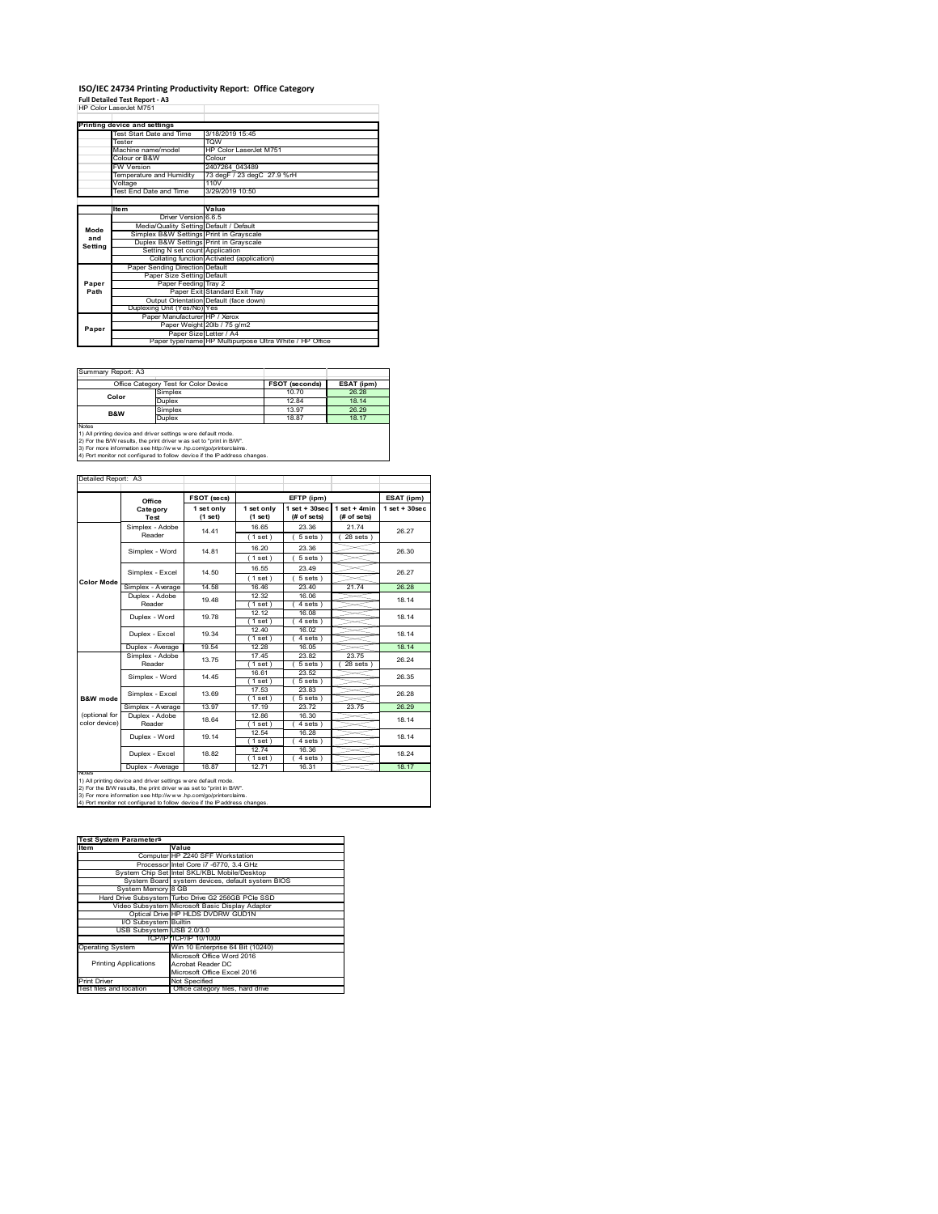# **ISO/IEC 24734 Printing Productivity Report: Office Category Full Detailed Test Report ‐ A3** HP Color LaserJet M751

|         | וניוויו במסטופט וויוטו                  |                                                         |
|---------|-----------------------------------------|---------------------------------------------------------|
|         |                                         |                                                         |
|         | Printing device and settings            |                                                         |
|         | Test Start Date and Time                | 3/18/2019 15:45                                         |
|         | <b>Tester</b>                           | <b>TOW</b>                                              |
|         | Machine name/model                      | HP Color LaserJet M751                                  |
|         | Colour or B&W                           | Colour                                                  |
|         | <b>FW Version</b>                       | 2407264 043489                                          |
|         | Temperature and Humidity                | 73 degF / 23 degC 27.9 %rH                              |
|         | Voltage                                 | 110V                                                    |
|         | Test End Date and Time                  | 3/29/2019 10:50                                         |
|         |                                         |                                                         |
|         | <b>Item</b>                             | Value                                                   |
|         | Driver Version 6.6.5                    |                                                         |
| Mode    | Media/Quality Setting Default / Default |                                                         |
| and     | Simplex B&W Settings Print in Grayscale |                                                         |
| Setting | Duplex B&W Settings Print in Grayscale  |                                                         |
|         | Setting N set count Application         |                                                         |
|         |                                         | Collating function Activated (application)              |
|         | Paper Sending Direction Default         |                                                         |
|         | Paper Size Setting Default              |                                                         |
| Paper   | Paper Feeding Tray 2                    |                                                         |
| Path    |                                         | Paper Exit Standard Exit Tray                           |
|         |                                         | Output Orientation Default (face down)                  |
|         | Duplexing Unit (Yes/No) Yes             |                                                         |
|         | Paper Manufacturer HP / Xerox           |                                                         |
| Paper   |                                         | Paper Weight 20lb / 75 g/m2                             |
|         |                                         | Paper Size Letter / A4                                  |
|         |                                         | Paper type/name HP Multipurpose Ultra White / HP Office |

Summary Report: A3

| Office Category Test for Color Device                         |         | <b>FSOT (seconds)</b> | ESAT (ipm) |  |  |  |  |
|---------------------------------------------------------------|---------|-----------------------|------------|--|--|--|--|
| Color                                                         | Simplex | 10.70                 | 26.28      |  |  |  |  |
|                                                               | Duplex  | 1284                  | 18 14      |  |  |  |  |
| B&W                                                           | Simplex | 13.97                 | 26.29      |  |  |  |  |
|                                                               | Duplex  | 18.87                 | 18.17      |  |  |  |  |
| <b>Notes</b>                                                  |         |                       |            |  |  |  |  |
| 1) All printing device and driver settings were default mode. |         |                       |            |  |  |  |  |

コ

1) All printing device and driver settings were default mode.<br>2) For the B/W results, the print driver was set to "print in B/W".<br>3) For more information see http://www.hp.com/go/printerclaims.<br>4) Port monitor not configur

| Detailed Report: A |  |
|--------------------|--|
|                    |  |

| Detailed Report: A3            |                           |                       |                         |                                   |                               |                  |
|--------------------------------|---------------------------|-----------------------|-------------------------|-----------------------------------|-------------------------------|------------------|
|                                | Office                    | FSOT (secs)           |                         | EFTP (ipm)                        |                               | ESAT (ipm)       |
|                                | Category<br>Test          | 1 set only<br>(1 set) | 1 set only<br>$(1$ set) | $1$ set + $30$ sec<br>(# of sets) | $1$ set + 4min<br>(# of sets) | $1$ set + 30sec. |
|                                | Simplex - Adobe<br>Reader | 14 41                 | 16.65<br>(1 set)        | 23.36<br>$5 sets$ )               | 2174<br>$28$ sets $)$         | 26.27            |
|                                | Simplex - Word            | 14 81                 | 16.20<br>(1 set)        | 23.36<br>$5 sets$ )               |                               | 26.30            |
|                                | Simplex - Excel           | 14.50                 | 16.55<br>(1 set)        | 23 49<br>$5 sets$ )               |                               | 26.27            |
| <b>Color Mode</b>              | Simplex - Average         | 14.58                 | 1646                    | 23.40                             | 21.74                         | 26.28            |
|                                | Duplex - Adobe<br>Reader  | 1948                  | 12.32<br>(1 set)        | 16.06<br>$4 sets$ )               |                               | 18 14            |
|                                | Duplex - Word             | 1978                  | 12 12<br>(1 set)        | 16.08<br>$4 sets$ )               |                               | 18 14            |
|                                | Duplex - Excel            | 19.34                 | 12 40<br>(1 set)        | 16.02<br>$4 sets$ )               |                               | 18 14            |
|                                | Duplex - Average          | 19.54                 | 12 28                   | 16 05                             |                               | 18 14            |
|                                | Simplex - Adobe<br>Reader | 13 75                 | 1745<br>(1 set)         | 23.82<br>5 sets )                 | 2375<br>$28$ sets $)$         | 26.24            |
|                                | Simplex - Word            | 14 45                 | 16.61<br>(1 set)        | 23.52<br>$5 sets$ )               |                               | 26.35            |
| B&W mode                       | Simplex - Excel           | 13.69                 | 17.53<br>(1 set)        | 23.83<br>$5 sets$ )               |                               | 26.28            |
|                                | Simplex - Average         | 13.97                 | 17.19                   | 23.72                             | 23.75                         | 26.29            |
| (optional for<br>color device) | Duplex - Adobe<br>Reader  | 18.64                 | 12.86<br>(1 set )       | 16.30<br>4 sets)                  |                               | 18 14            |
|                                | Duplex - Word             | 19 14                 | 12.54<br>(1 set)        | 16.28<br>4 sets)                  |                               | 18 14            |
|                                | Duplex - Excel            | 18.82                 | 12.74<br>$1$ set)       | 16.36<br>4 sets)                  |                               | 18 24            |
|                                | Duplex - Average          | 18.87                 | 1271                    | 16.31                             |                               | 18 17            |

2) For the B/W results, the print driver w as set to "print in B/W".<br>3) For more information see http://w w w .hp.com/go/printerclaims.<br>4) Port monitor not configured to follow device if the IP address changes.

| <b>Test System Parameters</b> |                                                    |
|-------------------------------|----------------------------------------------------|
| <b>Item</b>                   | Value                                              |
|                               | Computer HP Z240 SFF Workstation                   |
|                               | Processor Intel Core i7 -6770, 3.4 GHz             |
|                               | System Chip Set Intel SKL/KBL Mobile/Desktop       |
|                               | System Board system devices, default system BIOS   |
| System Memory 8 GB            |                                                    |
|                               | Hard Drive Subsystem Turbo Drive G2 256GB PCle SSD |
|                               | Video Subsystem Microsoft Basic Display Adaptor    |
|                               | Optical Drive HP HLDS DVDRW GUD1N                  |
| I/O Subsystem Builtin         |                                                    |
| USB Subsystem USB 2.0/3.0     |                                                    |
|                               | TCP/IP/TCP/IP 10/1000                              |
| <b>Operating System</b>       | Win 10 Enterprise 64 Bit (10240)                   |
|                               | Microsoft Office Word 2016                         |
| <b>Printing Applications</b>  | Acrobat Reader DC                                  |
|                               | Microsoft Office Excel 2016                        |
| <b>Print Driver</b>           | Not Specified                                      |
| Test files and location       | Office category files, hard drive                  |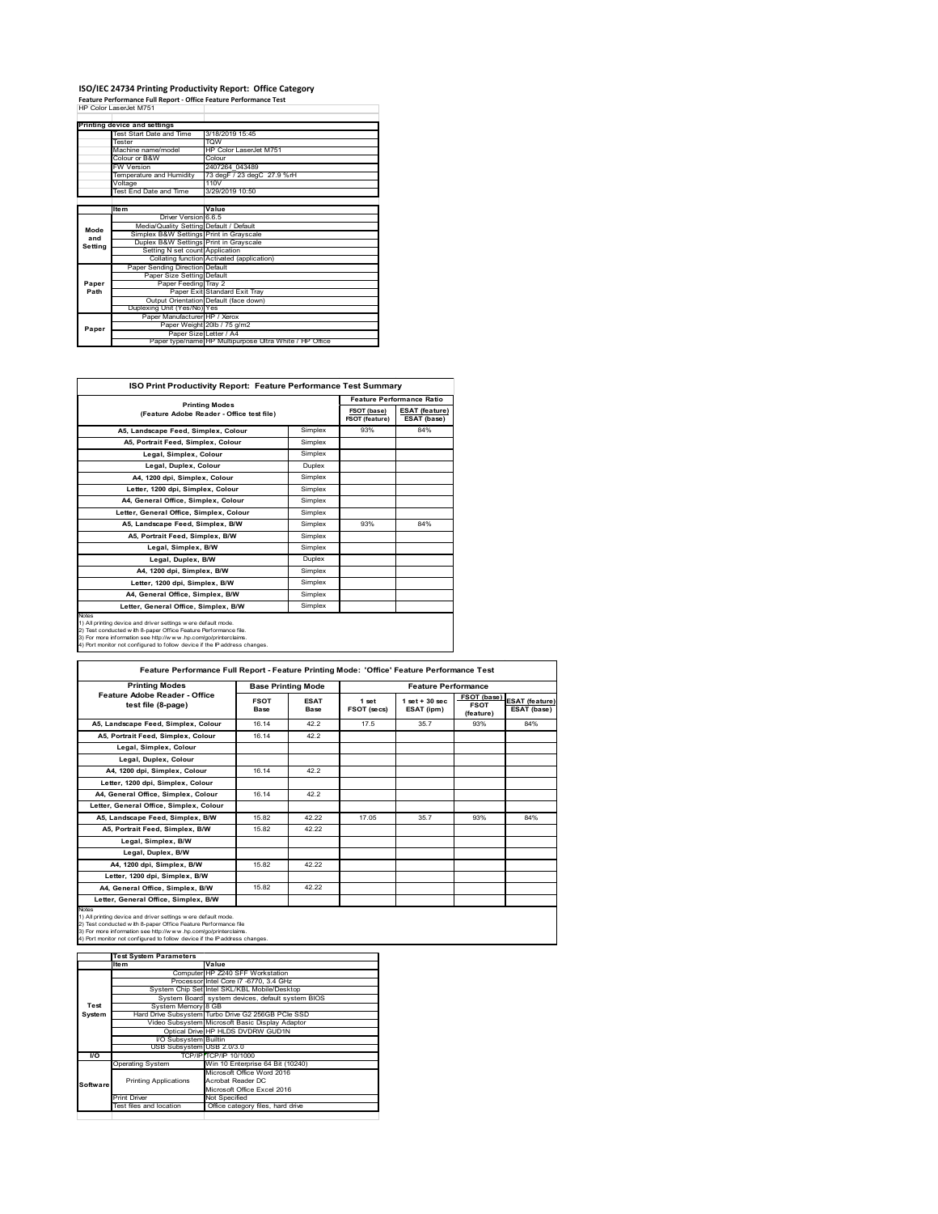#### **ISO/IEC 24734 Printing Productivity Report: Office Category Feature Performance Full Report ‐ Office Feature Performance Test** HP Color LaserJet M751

|         | Printing device and settings            |                                                         |
|---------|-----------------------------------------|---------------------------------------------------------|
|         | Test Start Date and Time                | 3/18/2019 15:45                                         |
|         | <b>Tester</b>                           | <b>TOW</b>                                              |
|         | Machine name/model                      | HP Color LaserJet M751                                  |
|         | Colour or B&W                           | Colour                                                  |
|         | <b>FW Version</b>                       | 2407264 043489                                          |
|         | Temperature and Humidity                | 73 degF / 23 degC 27.9 %rH                              |
|         | Voltage                                 | 110V                                                    |
|         | Test End Date and Time                  | 3/29/2019 10:50                                         |
|         |                                         |                                                         |
|         | <b>Item</b>                             | Value                                                   |
|         | Driver Version 6.6.5                    |                                                         |
| Mode    | Media/Quality Setting Default / Default |                                                         |
| and     | Simplex B&W Settings Print in Grayscale |                                                         |
| Setting | Duplex B&W Settings Print in Grayscale  |                                                         |
|         | Setting N set count Application         |                                                         |
|         |                                         | Collating function Activated (application)              |
|         | Paper Sending Direction Default         |                                                         |
|         | Paper Size Setting Default              |                                                         |
| Paper   | Paper Feeding Tray 2                    |                                                         |
| Path    |                                         | Paper Exit Standard Exit Tray                           |
|         |                                         | Output Orientation Default (face down)                  |
|         | Duplexing Unit (Yes/No) Yes             |                                                         |
|         | Paper Manufacturer HP / Xerox           |                                                         |
| Paper   |                                         | Paper Weight 20lb / 75 g/m2                             |
|         |                                         |                                                         |
|         | Paper Size Letter / A4                  | Paper type/name HP Multipurpose Ultra White / HP Office |

| <b>ISO Print Productivity Report: Feature Performance Test Summary</b>                                                                                                                                                                                                                            |         |                               |                                      |  |  |
|---------------------------------------------------------------------------------------------------------------------------------------------------------------------------------------------------------------------------------------------------------------------------------------------------|---------|-------------------------------|--------------------------------------|--|--|
|                                                                                                                                                                                                                                                                                                   |         |                               | <b>Feature Performance Ratio</b>     |  |  |
| <b>Printing Modes</b><br>(Feature Adobe Reader - Office test file)                                                                                                                                                                                                                                |         | FSOT (base)<br>FSOT (feature) | <b>ESAT (feature)</b><br>ESAT (base) |  |  |
| A5, Landscape Feed, Simplex, Colour                                                                                                                                                                                                                                                               | Simplex | 93%                           | 84%                                  |  |  |
| A5, Portrait Feed, Simplex, Colour                                                                                                                                                                                                                                                                | Simplex |                               |                                      |  |  |
| Legal, Simplex, Colour                                                                                                                                                                                                                                                                            | Simplex |                               |                                      |  |  |
| Legal, Duplex, Colour                                                                                                                                                                                                                                                                             | Duplex  |                               |                                      |  |  |
| A4, 1200 dpi, Simplex, Colour                                                                                                                                                                                                                                                                     | Simplex |                               |                                      |  |  |
| Letter, 1200 dpi, Simplex, Colour                                                                                                                                                                                                                                                                 | Simplex |                               |                                      |  |  |
| A4. General Office. Simplex. Colour                                                                                                                                                                                                                                                               | Simplex |                               |                                      |  |  |
| Letter, General Office, Simplex, Colour                                                                                                                                                                                                                                                           | Simplex |                               |                                      |  |  |
| A5, Landscape Feed, Simplex, B/W                                                                                                                                                                                                                                                                  | Simplex | 93%                           | 84%                                  |  |  |
| A5, Portrait Feed, Simplex, B/W                                                                                                                                                                                                                                                                   | Simplex |                               |                                      |  |  |
| Legal, Simplex, B/W                                                                                                                                                                                                                                                                               | Simplex |                               |                                      |  |  |
| Legal, Duplex, B/W                                                                                                                                                                                                                                                                                | Duplex  |                               |                                      |  |  |
| A4, 1200 dpi, Simplex, B/W                                                                                                                                                                                                                                                                        | Simplex |                               |                                      |  |  |
| Letter, 1200 dpi, Simplex, B/W                                                                                                                                                                                                                                                                    | Simplex |                               |                                      |  |  |
| A4, General Office, Simplex, B/W                                                                                                                                                                                                                                                                  | Simplex |                               |                                      |  |  |
| Letter, General Office, Simplex, B/W                                                                                                                                                                                                                                                              | Simplex |                               |                                      |  |  |
| <b>Notes</b><br>1) All printing device and driver settings were default mode.<br>2) Test conducted with 8-paper Office Feature Performance file.<br>3) For more information see http://www.hp.com/go/printerclaims.<br>4) Port monitor not configured to follow device if the IP address changes. |         |                               |                                      |  |  |

| <b>Printing Modes</b>                               |                            | <b>Base Printing Mode</b>  |                      | <b>Feature Performance</b>       |                                         |                                      |  |  |  |
|-----------------------------------------------------|----------------------------|----------------------------|----------------------|----------------------------------|-----------------------------------------|--------------------------------------|--|--|--|
| Feature Adobe Reader - Office<br>test file (8-page) | <b>FSOT</b><br><b>Base</b> | <b>ESAT</b><br><b>Base</b> | 1 set<br>FSOT (secs) | $1$ set $+30$ sec.<br>ESAT (ipm) | FSOT (base)<br><b>FSOT</b><br>(feature) | <b>ESAT (feature)</b><br>ESAT (base) |  |  |  |
| A5, Landscape Feed, Simplex, Colour                 | 16.14                      | 42.2                       | 17.5                 | 35.7                             | 93%                                     | 84%                                  |  |  |  |
| A5, Portrait Feed, Simplex, Colour                  | 16.14                      | 42.2                       |                      |                                  |                                         |                                      |  |  |  |
| Legal, Simplex, Colour                              |                            |                            |                      |                                  |                                         |                                      |  |  |  |
| Legal, Duplex, Colour                               |                            |                            |                      |                                  |                                         |                                      |  |  |  |
| A4, 1200 dpi, Simplex, Colour                       | 16 14                      | 422                        |                      |                                  |                                         |                                      |  |  |  |
| Letter, 1200 dpi, Simplex, Colour                   |                            |                            |                      |                                  |                                         |                                      |  |  |  |
| A4, General Office, Simplex, Colour                 | 16.14                      | 42.2                       |                      |                                  |                                         |                                      |  |  |  |
| Letter, General Office, Simplex, Colour             |                            |                            |                      |                                  |                                         |                                      |  |  |  |
| A5, Landscape Feed, Simplex, B/W                    | 15.82                      | 42.22                      | 17.05                | 35.7                             | 93%                                     | 84%                                  |  |  |  |
| A5, Portrait Feed, Simplex, B/W                     | 15.82                      | 42.22                      |                      |                                  |                                         |                                      |  |  |  |
| Legal, Simplex, B/W                                 |                            |                            |                      |                                  |                                         |                                      |  |  |  |
| Legal, Duplex, B/W                                  |                            |                            |                      |                                  |                                         |                                      |  |  |  |
| A4. 1200 dpi. Simplex. B/W                          | 15.82                      | 42.22                      |                      |                                  |                                         |                                      |  |  |  |
| Letter, 1200 dpi, Simplex, B/W                      |                            |                            |                      |                                  |                                         |                                      |  |  |  |
| A4, General Office, Simplex, B/W                    | 15.82                      | 42.22                      |                      |                                  |                                         |                                      |  |  |  |
| Letter, General Office, Simplex, B/W                |                            |                            |                      |                                  |                                         |                                      |  |  |  |

1) All printing device and driver settings were default mode.<br>2) Test conducted with 8-paper Office Feature Performance file<br>3) For more information see http://www.hp.com/go/printerclaims.<br>4) Port monitor not configured to

|           | <b>Test System Parameters</b> |                                                    |
|-----------|-------------------------------|----------------------------------------------------|
|           | Ite <sub>m</sub>              | Value                                              |
|           |                               | Computer HP Z240 SFF Workstation                   |
|           |                               | Processor Intel Core i7 -6770, 3.4 GHz             |
|           |                               | System Chip Set Intel SKL/KBL Mobile/Desktop       |
|           |                               | System Board system devices, default system BIOS   |
| Test      | System Memory 8 GB            |                                                    |
| System    |                               | Hard Drive Subsystem Turbo Drive G2 256GB PCle SSD |
|           |                               | Video Subsystem Microsoft Basic Display Adaptor    |
|           |                               | Optical Drive HP HLDS DVDRW GUD1N                  |
|           | <b>VO Subsystem Builtin</b>   |                                                    |
|           | USB Subsystem USB 2.0/3.0     |                                                    |
| <b>VO</b> |                               | TCP/IP/TCP/IP 10/1000                              |
|           | <b>Operating System</b>       | Win 10 Enterprise 64 Bit (10240)                   |
|           |                               | Microsoft Office Word 2016                         |
| Software  | <b>Printing Applications</b>  | Acrobat Reader DC                                  |
|           |                               | Microsoft Office Excel 2016                        |
|           | <b>Print Driver</b>           | Not Specified                                      |
|           | Test files and location       | Office category files, hard drive                  |
|           |                               |                                                    |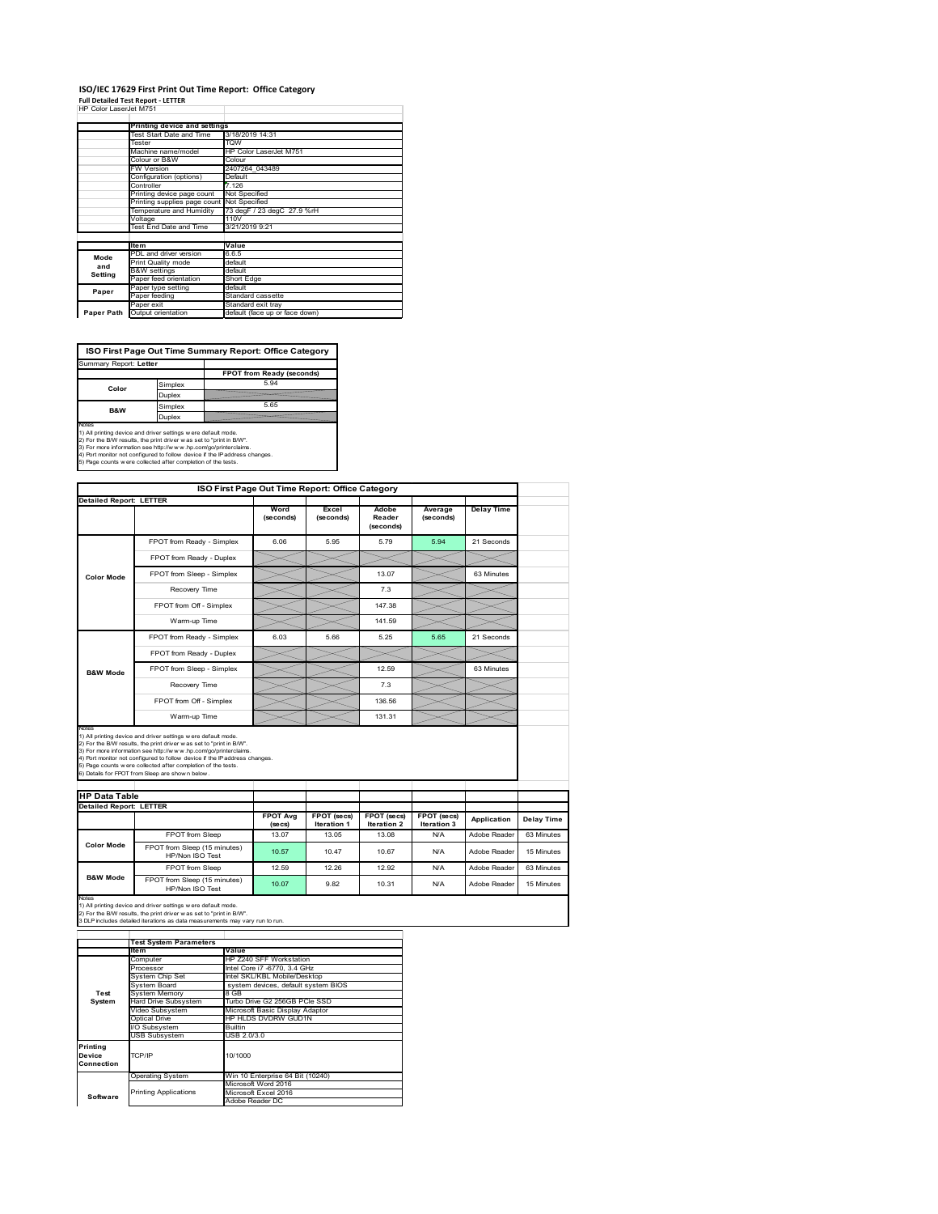#### **ISO/IEC 17629 First Print Out Time Report: Office Category**

| <b>Full Detailed Test Report - LETTER</b> |  |
|-------------------------------------------|--|
| HP Color LaserJet M751                    |  |

|            | Printing device and settings               |                                |  |  |  |
|------------|--------------------------------------------|--------------------------------|--|--|--|
|            | Test Start Date and Time                   | 3/18/2019 14:31                |  |  |  |
|            | Tester                                     | <b>TOW</b>                     |  |  |  |
|            | Machine name/model                         | HP Color LaserJet M751         |  |  |  |
|            | Colour or B&W                              | Colour                         |  |  |  |
|            | FW Version                                 | 2407264 043489                 |  |  |  |
|            | Configuration (options)                    | Default                        |  |  |  |
|            | Controller                                 | 7.126                          |  |  |  |
|            | Printing device page count                 | Not Specified                  |  |  |  |
|            | Printing supplies page count Not Specified |                                |  |  |  |
|            | Temperature and Humidity                   | 73 degF / 23 degC 27.9 %rH     |  |  |  |
|            | Voltage                                    | 110V                           |  |  |  |
|            | Test End Date and Time                     | 3/21/2019 9:21                 |  |  |  |
|            |                                            |                                |  |  |  |
|            | <b>Item</b>                                | Value                          |  |  |  |
| Mode       | PDL and driver version                     | 6.6.5                          |  |  |  |
| and        | Print Quality mode                         | default                        |  |  |  |
| Setting    | <b>B&amp;W</b> settings                    | default                        |  |  |  |
|            | Paper feed orientation                     | Short Edge                     |  |  |  |
| Paper      | Paper type setting                         | default                        |  |  |  |
|            | Paper feeding                              | Standard cassette              |  |  |  |
|            | Paper exit                                 | Standard exit tray             |  |  |  |
| Paper Path | Output orientation                         | default (face up or face down) |  |  |  |
|            |                                            |                                |  |  |  |

**ISO First Page Out Time Summary Report: Office Category**

| Summary Report: Letter |                           |
|------------------------|---------------------------|
|                        | FPOT from Ready (seconds) |
| Simplex                | 5.94                      |
| Duplex                 |                           |
| Simplex                | 5.65                      |
| Duplex                 |                           |
|                        |                           |

Notes<br>1) All printing device and driver settings were default mode.<br>2) For the BW results, the print driver was set to "print in BW".<br>3) For more information see http://www.hp.com/golprinterclaims.<br>4) Rot monitor not confi

|                                |                                                                                                                                                                                                                                                                                                                                                                                                             |                            |                                   | ISO First Page Out Time Report: Office Category |                            |                   |
|--------------------------------|-------------------------------------------------------------------------------------------------------------------------------------------------------------------------------------------------------------------------------------------------------------------------------------------------------------------------------------------------------------------------------------------------------------|----------------------------|-----------------------------------|-------------------------------------------------|----------------------------|-------------------|
| <b>Detailed Report: LETTER</b> |                                                                                                                                                                                                                                                                                                                                                                                                             | Word<br>(seconds)          | Excel<br>(seconds)                | Adobe<br>Reader<br>(seconds)                    | Average<br>(seconds)       | <b>Delay Time</b> |
|                                | FPOT from Ready - Simplex                                                                                                                                                                                                                                                                                                                                                                                   | 6.06                       | 5.95                              | 5.79                                            | 5.94                       | 21 Seconds        |
|                                | FPOT from Ready - Duplex                                                                                                                                                                                                                                                                                                                                                                                    |                            |                                   |                                                 |                            |                   |
| <b>Color Mode</b>              | FPOT from Sleep - Simplex                                                                                                                                                                                                                                                                                                                                                                                   |                            |                                   | 13.07                                           |                            | 63 Minutes        |
|                                | Recovery Time                                                                                                                                                                                                                                                                                                                                                                                               |                            |                                   | 7.3                                             |                            |                   |
|                                | FPOT from Off - Simplex                                                                                                                                                                                                                                                                                                                                                                                     |                            |                                   | 147.38                                          |                            |                   |
|                                | Warm-up Time                                                                                                                                                                                                                                                                                                                                                                                                |                            |                                   | 141.59                                          |                            |                   |
|                                | FPOT from Ready - Simplex                                                                                                                                                                                                                                                                                                                                                                                   | 6.03                       | 5.66                              | 5.25                                            | 5.65                       | 21 Seconds        |
|                                | FPOT from Ready - Duplex                                                                                                                                                                                                                                                                                                                                                                                    |                            |                                   |                                                 |                            |                   |
| <b>B&amp;W Mode</b>            | FPOT from Sleep - Simplex                                                                                                                                                                                                                                                                                                                                                                                   |                            |                                   | 12.59                                           |                            | 63 Minutes        |
|                                |                                                                                                                                                                                                                                                                                                                                                                                                             |                            |                                   | 7.3                                             |                            |                   |
|                                | Recovery Time                                                                                                                                                                                                                                                                                                                                                                                               |                            |                                   |                                                 |                            |                   |
|                                | FPOT from Off - Simplex                                                                                                                                                                                                                                                                                                                                                                                     |                            |                                   | 136.56                                          |                            |                   |
| Notes                          | Warm-up Time                                                                                                                                                                                                                                                                                                                                                                                                |                            |                                   | 131.31                                          |                            |                   |
| <b>HP Data Table</b>           | 1) All printing device and driver settings w ere default mode.<br>2) For the B/W results, the print driver was set to "print in B/W".<br>3) For more information see http://www.hp.com/go/printerclaims.<br>4) Port monitor not configured to follow device if the IP address changes.<br>5) Page counts w ere collected after completion of the tests.<br>6) Details for FPOT from Sleep are show n below. |                            |                                   |                                                 |                            |                   |
| <b>Detailed Report: LETTER</b> |                                                                                                                                                                                                                                                                                                                                                                                                             |                            |                                   |                                                 |                            |                   |
|                                |                                                                                                                                                                                                                                                                                                                                                                                                             | <b>FPOT Avg</b><br>(se cs) | FPOT (secs)<br><b>Iteration 1</b> | FPOT (secs)<br><b>Iteration 2</b>               | FPOT (secs)<br>Iteration 3 | Application       |
|                                | FPOT from Sleep                                                                                                                                                                                                                                                                                                                                                                                             | 13.07                      | 13.05                             | 13.08                                           | N/A                        | Adobe Reader      |
| <b>Color Mode</b>              | FPOT from Sleep (15 minutes)<br>HP/Non ISO Test                                                                                                                                                                                                                                                                                                                                                             | 10.57                      | 10.47                             | 10.67                                           | N/A                        | Adobe Reader      |
| <b>B&amp;W Mode</b>            | FPOT from Sleep                                                                                                                                                                                                                                                                                                                                                                                             | 12.59                      | 12.26                             | 12.92                                           | N/A                        | Adobe Reader      |

Notes<br>1) All printing device and driver settings w ere default mode.<br>2) For the B/W results, the print driver w as set to "print in B/W".<br>3 DLP includes detailed iterations as data measurements may vary run to run.

|            | <b>Test System Parameters</b> |                                     |  |  |  |
|------------|-------------------------------|-------------------------------------|--|--|--|
|            | ltem                          | Value                               |  |  |  |
|            | Computer                      | HP Z240 SFF Workstation             |  |  |  |
|            | Processor                     | Intel Core i7 -6770, 3.4 GHz        |  |  |  |
|            | System Chip Set               | Intel SKL/KBL Mobile/Desktop        |  |  |  |
|            | System Board                  | system devices, default system BIOS |  |  |  |
| Test       | <b>System Memory</b>          | 8 GB                                |  |  |  |
| System     | Hard Drive Subsystem          | Turbo Drive G2 256GB PCIe SSD       |  |  |  |
|            | Video Subsystem               | Microsoft Basic Display Adaptor     |  |  |  |
|            | Optical Drive                 | HP HLDS DVDRW GUD1N                 |  |  |  |
|            | I/O Subsystem                 | Builtin                             |  |  |  |
|            | <b>USB Subsystem</b>          | USB 2.0/3.0                         |  |  |  |
| Printing   |                               |                                     |  |  |  |
| Device     | TCP/IP                        | 10/1000                             |  |  |  |
| Connection |                               |                                     |  |  |  |
|            | <b>Operating System</b>       | Win 10 Enterprise 64 Bit (10240)    |  |  |  |
|            |                               | Microsoft Word 2016                 |  |  |  |
| Software   | <b>Printing Applications</b>  | Microsoft Excel 2016                |  |  |  |
|            |                               | Adobe Reader DC                     |  |  |  |